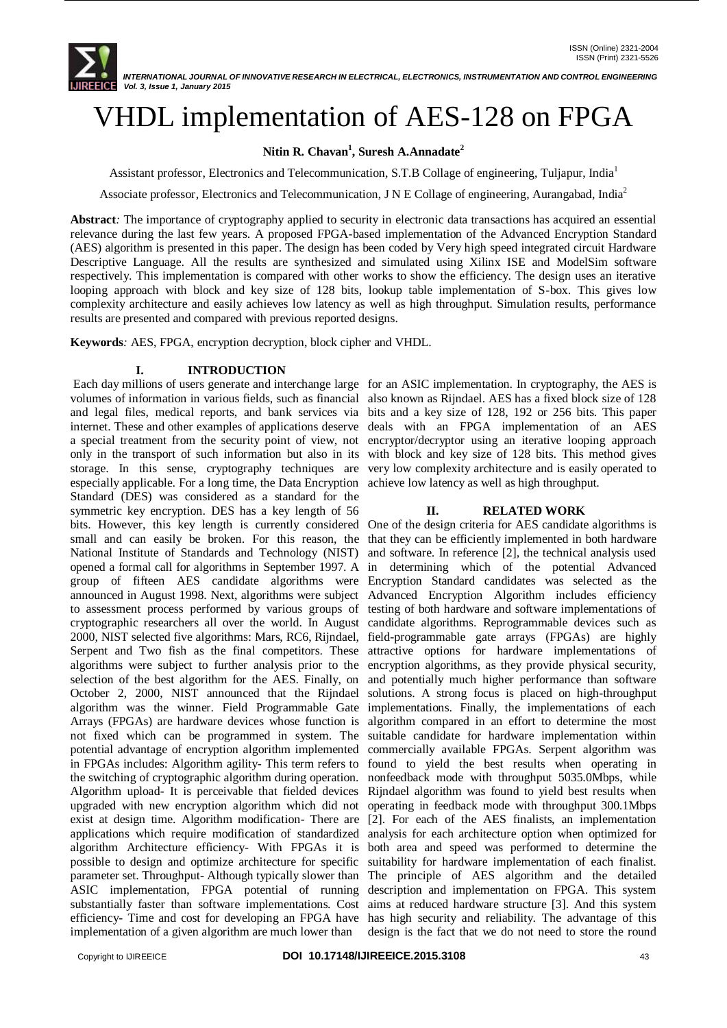# VHDL implementation of AES-128 on FPGA

# **Nitin R. Chavan<sup>1</sup> , Suresh A.Annadate<sup>2</sup>**

Assistant professor, Electronics and Telecommunication, S.T.B Collage of engineering, Tuljapur, India<sup>1</sup>

Associate professor, Electronics and Telecommunication, J N E Collage of engineering, Aurangabad, India<sup>2</sup>

**Abstract***:* The importance of cryptography applied to security in electronic data transactions has acquired an essential relevance during the last few years. A proposed FPGA-based implementation of the Advanced Encryption Standard (AES) algorithm is presented in this paper. The design has been coded by Very high speed integrated circuit Hardware Descriptive Language. All the results are synthesized and simulated using Xilinx ISE and ModelSim software respectively. This implementation is compared with other works to show the efficiency. The design uses an iterative looping approach with block and key size of 128 bits, lookup table implementation of S-box. This gives low complexity architecture and easily achieves low latency as well as high throughput. Simulation results, performance results are presented and compared with previous reported designs.

**Keywords***:* AES, FPGA, encryption decryption, block cipher and VHDL.

## **I. INTRODUCTION**

Each day millions of users generate and interchange large for an ASIC implementation. In cryptography, the AES is volumes of information in various fields, such as financial also known as Rijndael. AES has a fixed block size of 128 and legal files, medical reports, and bank services via bits and a key size of 128, 192 or 256 bits. This paper internet. These and other examples of applications deserve deals with an FPGA implementation of an AES a special treatment from the security point of view, not only in the transport of such information but also in its storage. In this sense, cryptography techniques are very low complexity architecture and is easily operated to especially applicable. For a long time, the Data Encryption Standard (DES) was considered as a standard for the symmetric key encryption. DES has a key length of 56 bits. However, this key length is currently considered One of the design criteria for AES candidate algorithms is small and can easily be broken. For this reason, the that they can be efficiently implemented in both hardware National Institute of Standards and Technology (NIST) opened a formal call for algorithms in September 1997. A in determining which of the potential Advanced group of fifteen AES candidate algorithms were Encryption Standard candidates was selected as the announced in August 1998. Next, algorithms were subject Advanced Encryption Algorithm includes efficiency to assessment process performed by various groups of testing of both hardware and software implementations of cryptographic researchers all over the world. In August candidate algorithms. Reprogrammable devices such as 2000, NIST selected five algorithms: Mars, RC6, Rijndael, Serpent and Two fish as the final competitors. These algorithms were subject to further analysis prior to the selection of the best algorithm for the AES. Finally, on October 2, 2000, NIST announced that the Rijndael algorithm was the winner. Field Programmable Gate Arrays (FPGAs) are hardware devices whose function is not fixed which can be programmed in system. The potential advantage of encryption algorithm implemented in FPGAs includes: Algorithm agility- This term refers to the switching of cryptographic algorithm during operation. Algorithm upload- It is perceivable that fielded devices upgraded with new encryption algorithm which did not exist at design time. Algorithm modification- There are [2]. For each of the AES finalists, an implementation applications which require modification of standardized analysis for each architecture option when optimized for algorithm Architecture efficiency- With FPGAs it is both area and speed was performed to determine the possible to design and optimize architecture for specific suitability for hardware implementation of each finalist. parameter set. Throughput- Although typically slower than The principle of AES algorithm and the detailed ASIC implementation, FPGA potential of running description and implementation on FPGA. This system substantially faster than software implementations. Cost aims at reduced hardware structure [3]. And this system efficiency- Time and cost for developing an FPGA have has high security and reliability. The advantage of this implementation of a given algorithm are much lower than

encryptor/decryptor using an iterative looping approach with block and key size of 128 bits. This method gives achieve low latency as well as high throughput.

## **II. RELATED WORK**

and software. In reference [2], the technical analysis used field-programmable gate arrays (FPGAs) are highly attractive options for hardware implementations of encryption algorithms, as they provide physical security, and potentially much higher performance than software solutions. A strong focus is placed on high-throughput implementations. Finally, the implementations of each algorithm compared in an effort to determine the most suitable candidate for hardware implementation within commercially available FPGAs. Serpent algorithm was found to yield the best results when operating in nonfeedback mode with throughput 5035.0Mbps, while Rijndael algorithm was found to yield best results when operating in feedback mode with throughput 300.1Mbps design is the fact that we do not need to store the round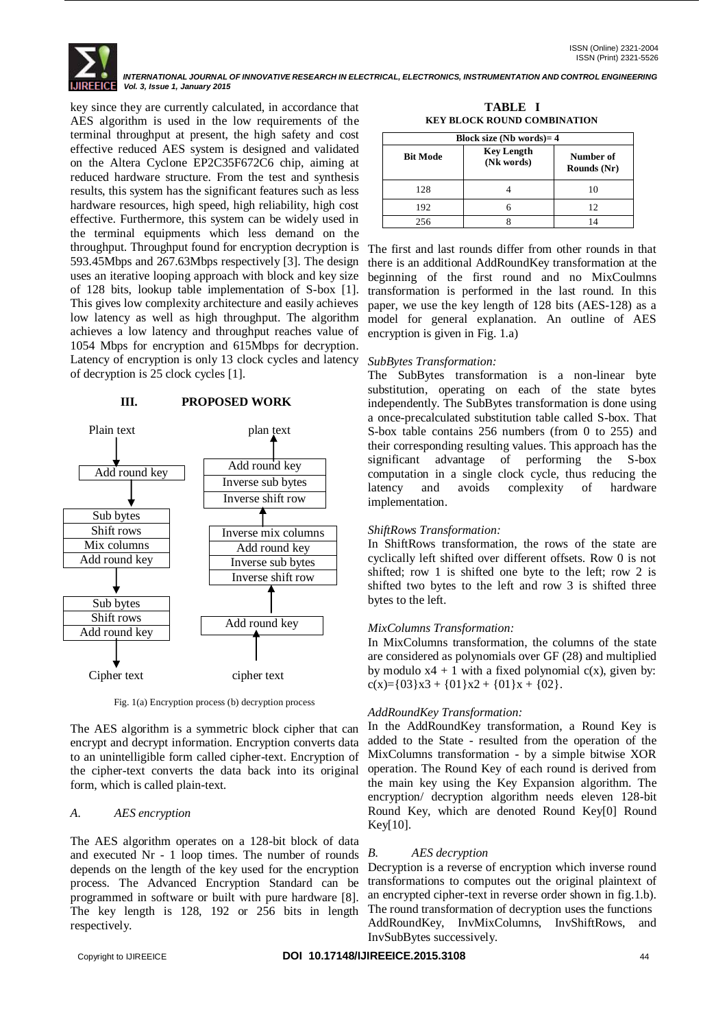*INTERNATIONAL JOURNAL OF INNOVATIVE RESEARCH IN ELECTRICAL, ELECTRONICS, INSTRUMENTATION AND CONTROL ENGINEERING Vol. 3, Issue 1, January 2015*

key since they are currently calculated, in accordance that AES algorithm is used in the low requirements of the terminal throughput at present, the high safety and cost effective reduced AES system is designed and validated on the Altera Cyclone EP2C35F672C6 chip, aiming at reduced hardware structure. From the test and synthesis results, this system has the significant features such as less hardware resources, high speed, high reliability, high cost effective. Furthermore, this system can be widely used in the terminal equipments which less demand on the throughput. Throughput found for encryption decryption is The first and last rounds differ from other rounds in that 593.45Mbps and 267.63Mbps respectively [3]. The design uses an iterative looping approach with block and key size of 128 bits, lookup table implementation of S-box [1]. This gives low complexity architecture and easily achieves low latency as well as high throughput. The algorithm achieves a low latency and throughput reaches value of 1054 Mbps for encryption and 615Mbps for decryption. Latency of encryption is only 13 clock cycles and latency of decryption is 25 clock cycles [1].

## Plain text plan text Add round key Sub bytes Shift rows Mix columns Add round key Sub bytes Shift rows Add round key Add round key Inverse sub bytes Inverse shift row Inverse mix columns Add round key Inverse sub bytes Inverse shift row Add round key

**III. PROPOSED WORK**

Fig. 1(a) Encryption process (b) decryption process

Cipher text cipher text

The AES algorithm is a symmetric block cipher that can encrypt and decrypt information. Encryption converts data to an unintelligible form called cipher-text. Encryption of the cipher-text converts the data back into its original form, which is called plain-text.

#### *A. AES encryption*

The AES algorithm operates on a 128-bit block of data and executed Nr - 1 loop times. The number of rounds depends on the length of the key used for the encryption process. The Advanced Encryption Standard can be programmed in software or built with pure hardware [8]. The key length is 128, 192 or 256 bits in length respectively.

**TABLE I KEY BLOCK ROUND COMBINATION**

| Block size (Nb words) = $4$ |                                 |                          |  |
|-----------------------------|---------------------------------|--------------------------|--|
| <b>Bit Mode</b>             | <b>Key Length</b><br>(Nk words) | Number of<br>Rounds (Nr) |  |
| 128                         |                                 | 10                       |  |
| 192                         |                                 | 12                       |  |
| 256                         |                                 |                          |  |

there is an additional AddRoundKey transformation at the beginning of the first round and no MixCoulmns transformation is performed in the last round. In this paper, we use the key length of 128 bits (AES-128) as a model for general explanation. An outline of AES encryption is given in Fig. 1.a)

#### *SubBytes Transformation:*

The SubBytes transformation is a non-linear byte substitution, operating on each of the state bytes independently. The SubBytes transformation is done using a once-precalculated substitution table called S-box. That S-box table contains 256 numbers (from 0 to 255) and their corresponding resulting values. This approach has the significant advantage of performing the S-box computation in a single clock cycle, thus reducing the latency and avoids complexity of hardware implementation.

#### *ShiftRows Transformation:*

In ShiftRows transformation, the rows of the state are cyclically left shifted over different offsets. Row 0 is not shifted; row 1 is shifted one byte to the left; row 2 is shifted two bytes to the left and row 3 is shifted three bytes to the left.

#### *MixColumns Transformation:*

In MixColumns transformation, the columns of the state are considered as polynomials over GF (28) and multiplied by modulo  $x4 + 1$  with a fixed polynomial c(x), given by: c(x)={03}x3 + {01}x2 + {01}x + {02}.

## *AddRoundKey Transformation:*

In the AddRoundKey transformation, a Round Key is added to the State - resulted from the operation of the MixColumns transformation - by a simple bitwise XOR operation. The Round Key of each round is derived from the main key using the Key Expansion algorithm. The encryption/ decryption algorithm needs eleven 128-bit Round Key, which are denoted Round Key[0] Round Key[10].

#### *B. AES decryption*

Decryption is a reverse of encryption which inverse round transformations to computes out the original plaintext of an encrypted cipher-text in reverse order shown in fig.1.b). The round transformation of decryption uses the functions AddRoundKey, InvMixColumns, InvShiftRows, and InvSubBytes successively.

#### Copyright to IJIREEICE **DOI 10.17148/IJIREEICE.2015.3108** 44